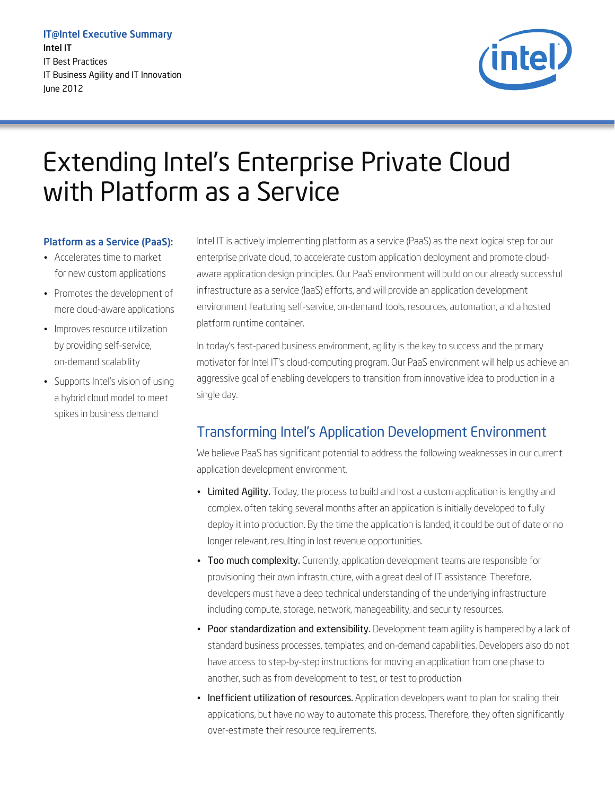IT@Intel Executive Summary Intel IT IT Best Practices IT Business Agility and IT Innovation June 2012



# Extending Intel's Enterprise Private Cloud with Platform as a Service

#### Platform as a Service (PaaS):

- Accelerates time to market for new custom applications
- Promotes the development of more cloud-aware applications
- Improves resource utilization by providing self-service, on-demand scalability
- Supports Intel's vision of using a hybrid cloud model to meet spikes in business demand

Intel IT is actively implementing platform as a service (PaaS) as the next logical step for our enterprise private cloud, to accelerate custom application deployment and promote cloudaware application design principles. Our PaaS environment will build on our already successful infrastructure as a service (IaaS) efforts, and will provide an application development environment featuring self-service, on-demand tools, resources, automation, and a hosted platform runtime container.

In today's fast-paced business environment, agility is the key to success and the primary motivator for Intel IT's cloud-computing program. Our PaaS environment will help us achieve an aggressive goal of enabling developers to transition from innovative idea to production in a single day.

### Transforming Intel's Application Development Environment

We believe PaaS has significant potential to address the following weaknesses in our current application development environment.

- Limited Agility. Today, the process to build and host a custom application is lengthy and complex, often taking several months after an application is initially developed to fully deploy it into production. By the time the application is landed, it could be out of date or no longer relevant, resulting in lost revenue opportunities.
- Too much complexity. Currently, application development teams are responsible for provisioning their own infrastructure, with a great deal of IT assistance. Therefore, developers must have a deep technical understanding of the underlying infrastructure including compute, storage, network, manageability, and security resources.
- Poor standardization and extensibility. Development team agility is hampered by a lack of standard business processes, templates, and on-demand capabilities. Developers also do not have access to step-by-step instructions for moving an application from one phase to another, such as from development to test, or test to production.
- Inefficient utilization of resources. Application developers want to plan for scaling their applications, but have no way to automate this process. Therefore, they often significantly over-estimate their resource requirements.